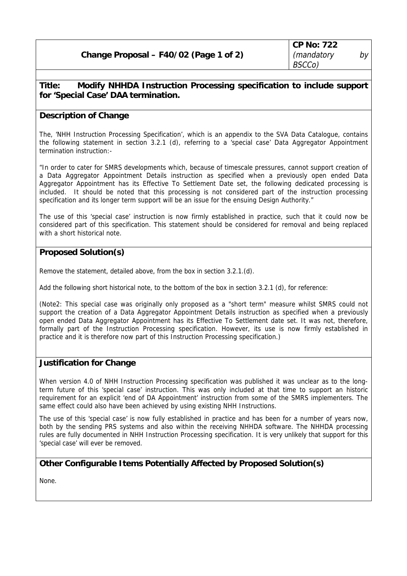## **Title: Modify NHHDA Instruction Processing specification to include support for 'Special Case' DAA termination.**

## **Description of Change**

The, 'NHH Instruction Processing Specification', which is an appendix to the SVA Data Catalogue, contains the following statement in section 3.2.1 (d), referring to a 'special case' Data Aggregator Appointment termination instruction:-

"In order to cater for SMRS developments which, because of timescale pressures, cannot support creation of a Data Aggregator Appointment Details instruction as specified when a previously open ended Data Aggregator Appointment has its Effective To Settlement Date set, the following dedicated processing is included. It should be noted that this processing is not considered part of the instruction processing specification and its longer term support will be an issue for the ensuing Design Authority."

The use of this 'special case' instruction is now firmly established in practice, such that it could now be considered part of this specification. This statement should be considered for removal and being replaced with a short historical note.

## **Proposed Solution(s)**

Remove the statement, detailed above, from the box in section 3.2.1.(d).

Add the following short historical note, to the bottom of the box in section 3.2.1 (d), for reference:

(Note2: This special case was originally only proposed as a "short term" measure whilst SMRS could not support the creation of a Data Aggregator Appointment Details instruction as specified when a previously open ended Data Aggregator Appointment has its Effective To Settlement date set. It was not, therefore, formally part of the Instruction Processing specification. However, its use is now firmly established in practice and it is therefore now part of this Instruction Processing specification.)

### **Justification for Change**

When version 4.0 of NHH Instruction Processing specification was published it was unclear as to the longterm future of this 'special case' instruction. This was only included at that time to support an historic requirement for an explicit 'end of DA Appointment' instruction from some of the SMRS implementers. The same effect could also have been achieved by using existing NHH Instructions.

The use of this 'special case' is now fully established in practice and has been for a number of years now, both by the sending PRS systems and also within the receiving NHHDA software. The NHHDA processing rules are fully documented in NHH Instruction Processing specification. It is very unlikely that support for this 'special case' will ever be removed.

# **Other Configurable Items Potentially Affected by Proposed Solution(s)**

None.